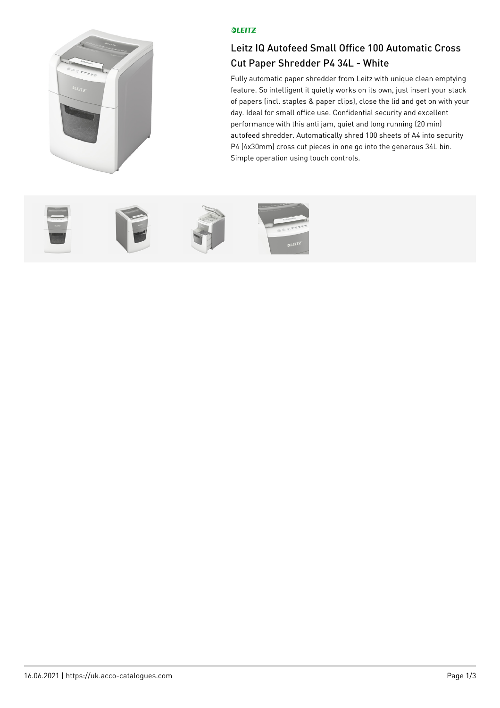

## **OLEITZ**

## Leitz IQ Autofeed Small Office 100 Automatic Cross Cut Paper Shredder P4 34L - White

Fully automatic paper shredder from Leitz with unique clean emptying feature. So intelligent it quietly works on its own, just insert your stack of papers (incl. staples & paper clips), close the lid and get on with your day. Ideal for small office use. Confidential security and excellent performance with this anti jam, quiet and long running (20 min) autofeed shredder. Automatically shred 100 sheets of A4 into security P4 (4x30mm) cross cut pieces in one go into the generous 34L bin. Simple operation using touch controls.